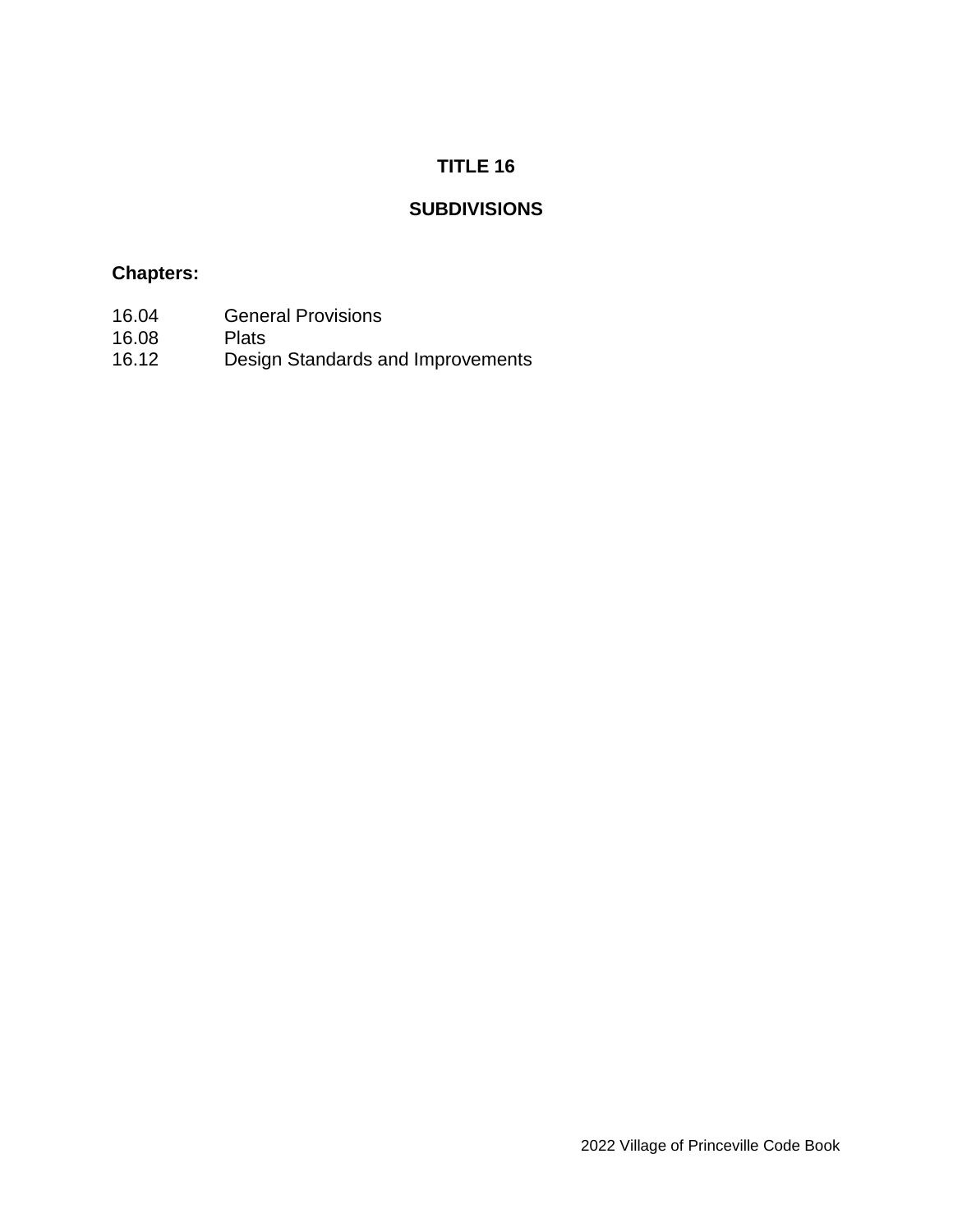# **TITLE 16**

## **SUBDIVISIONS**

## **Chapters:**

- 16.04 General Provisions<br>16.08 Plats
- 16.08<br>16.12
- Design Standards and Improvements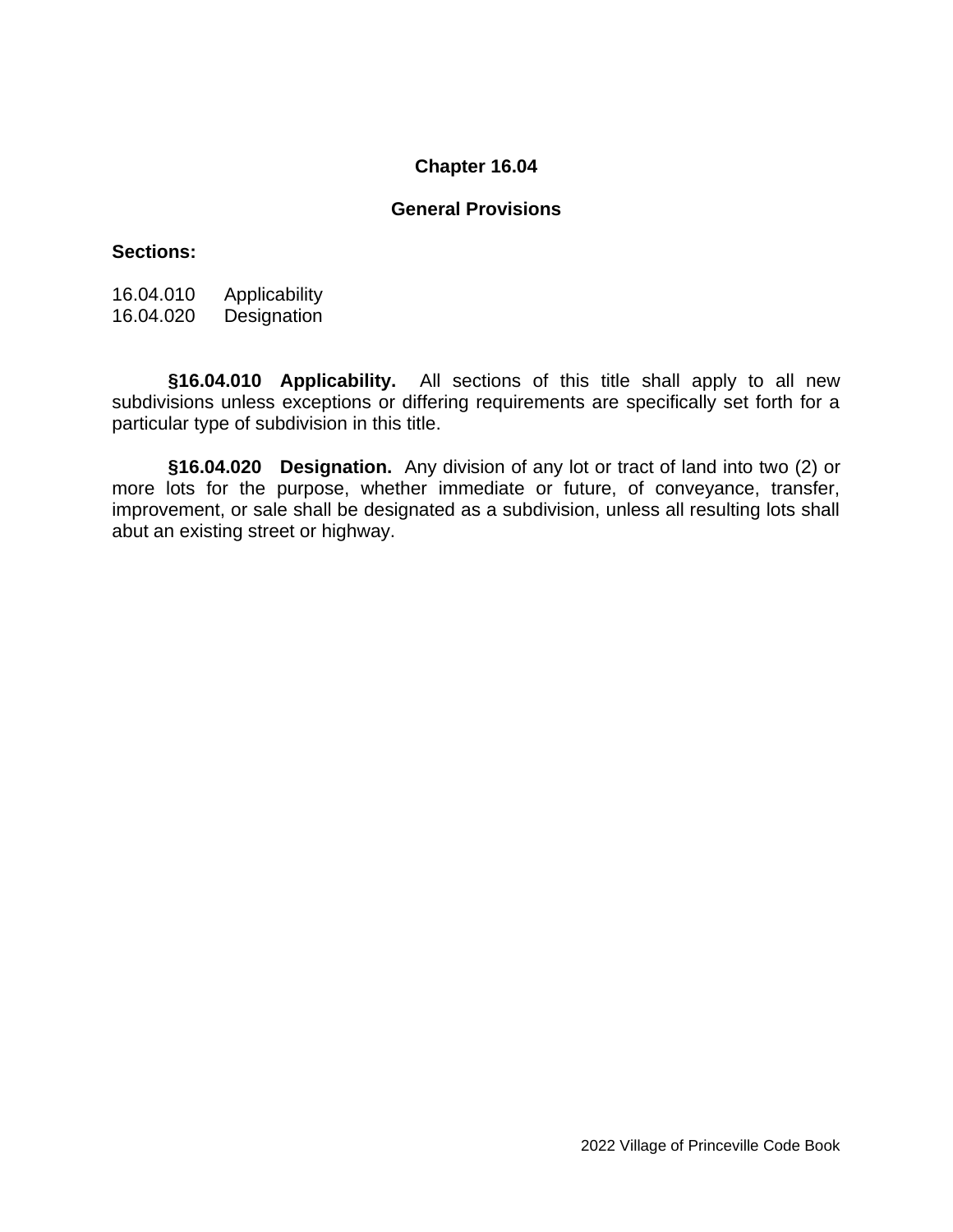### **Chapter 16.04**

#### **General Provisions**

#### **Sections:**

16.04.010 Applicability 16.04.020 Designation

**§16.04.010 Applicability.** All sections of this title shall apply to all new subdivisions unless exceptions or differing requirements are specifically set forth for a particular type of subdivision in this title.

**§16.04.020 Designation.** Any division of any lot or tract of land into two (2) or more lots for the purpose, whether immediate or future, of conveyance, transfer, improvement, or sale shall be designated as a subdivision, unless all resulting lots shall abut an existing street or highway.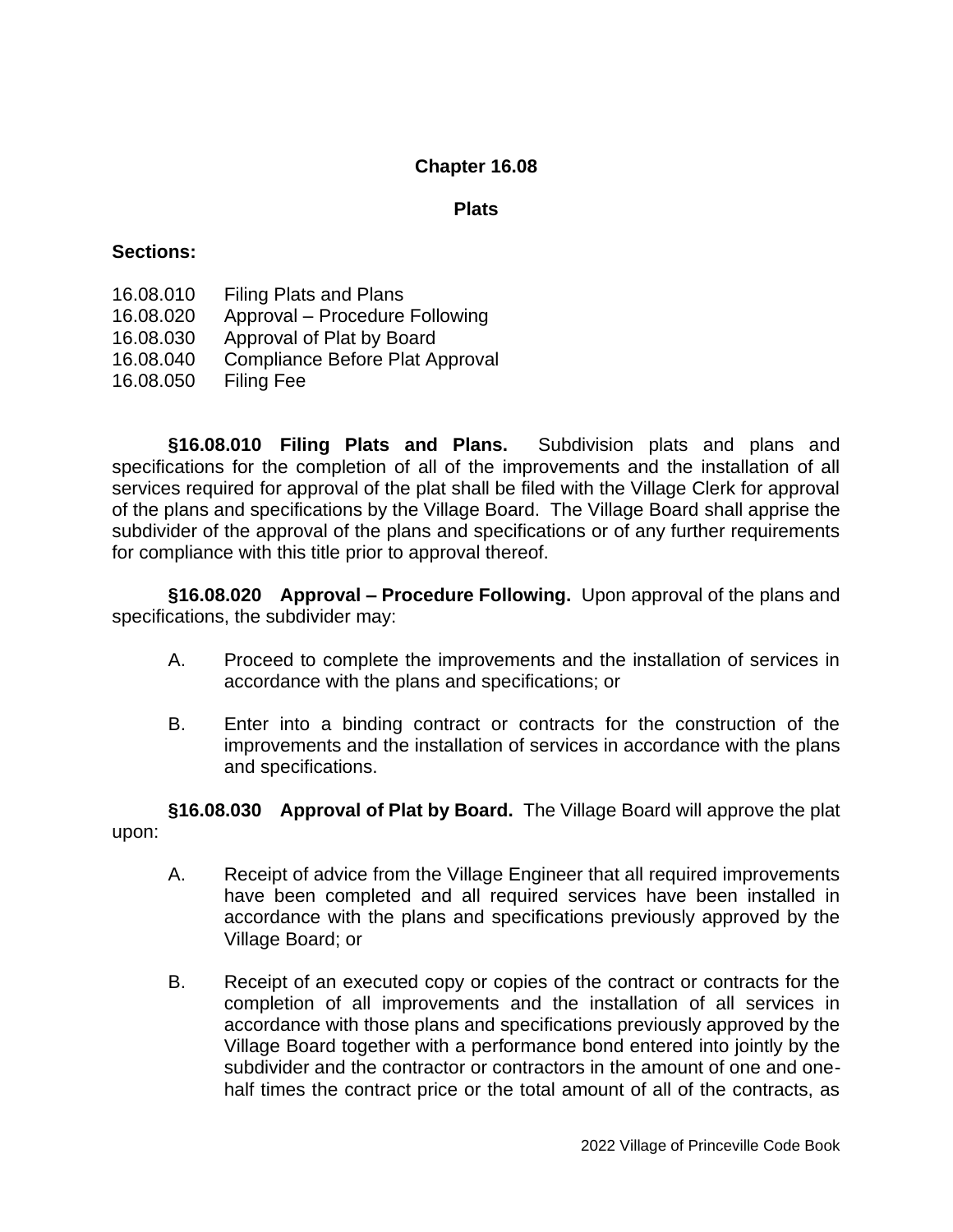### **Chapter 16.08**

#### **Plats**

#### **Sections:**

- 16.08.010 Filing Plats and Plans
- 16.08.020 Approval Procedure Following
- 16.08.030 Approval of Plat by Board
- 16.08.040 Compliance Before Plat Approval
- 16.08.050 Filing Fee

**§16.08.010 Filing Plats and Plans.** Subdivision plats and plans and specifications for the completion of all of the improvements and the installation of all services required for approval of the plat shall be filed with the Village Clerk for approval of the plans and specifications by the Village Board. The Village Board shall apprise the subdivider of the approval of the plans and specifications or of any further requirements for compliance with this title prior to approval thereof.

**§16.08.020 Approval – Procedure Following.** Upon approval of the plans and specifications, the subdivider may:

- A. Proceed to complete the improvements and the installation of services in accordance with the plans and specifications; or
- B. Enter into a binding contract or contracts for the construction of the improvements and the installation of services in accordance with the plans and specifications.

**§16.08.030 Approval of Plat by Board.** The Village Board will approve the plat upon:

- A. Receipt of advice from the Village Engineer that all required improvements have been completed and all required services have been installed in accordance with the plans and specifications previously approved by the Village Board; or
- B. Receipt of an executed copy or copies of the contract or contracts for the completion of all improvements and the installation of all services in accordance with those plans and specifications previously approved by the Village Board together with a performance bond entered into jointly by the subdivider and the contractor or contractors in the amount of one and onehalf times the contract price or the total amount of all of the contracts, as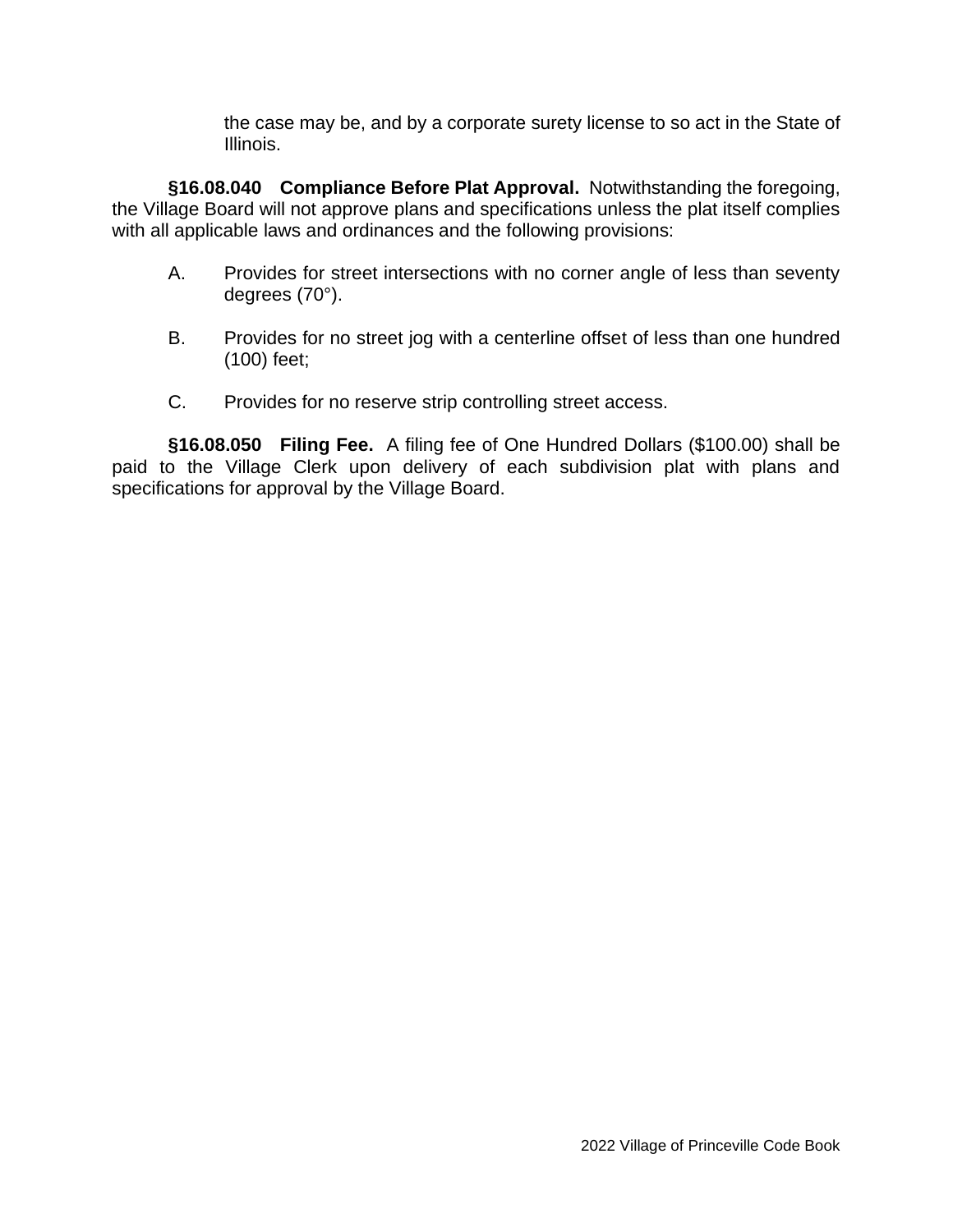the case may be, and by a corporate surety license to so act in the State of Illinois.

**§16.08.040 Compliance Before Plat Approval.** Notwithstanding the foregoing, the Village Board will not approve plans and specifications unless the plat itself complies with all applicable laws and ordinances and the following provisions:

- A. Provides for street intersections with no corner angle of less than seventy degrees (70°).
- B. Provides for no street jog with a centerline offset of less than one hundred (100) feet;
- C. Provides for no reserve strip controlling street access.

**§16.08.050 Filing Fee.** A filing fee of One Hundred Dollars (\$100.00) shall be paid to the Village Clerk upon delivery of each subdivision plat with plans and specifications for approval by the Village Board.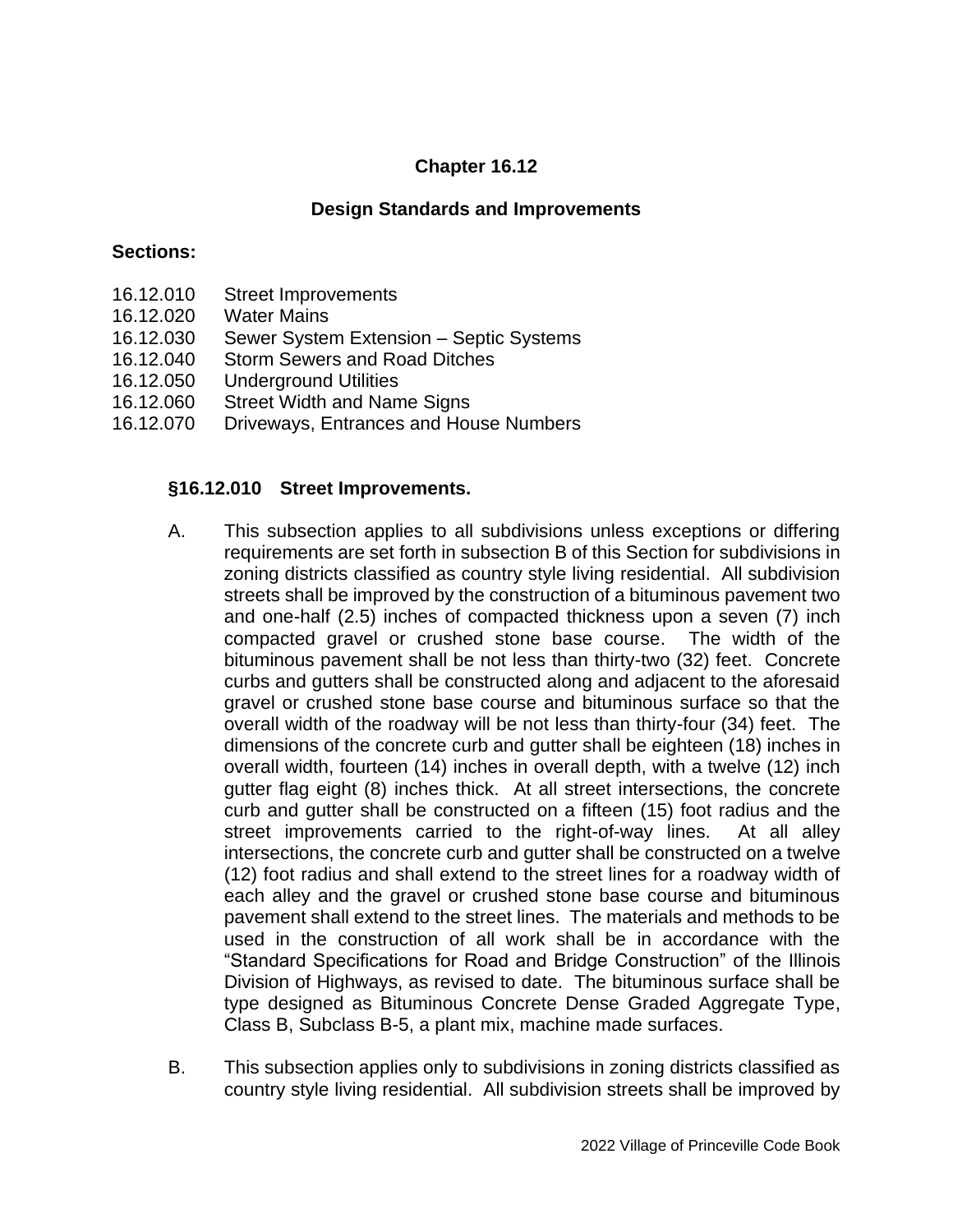## **Chapter 16.12**

## **Design Standards and Improvements**

#### **Sections:**

- 16.12.010 Street Improvements
- 16.12.020 Water Mains
- 16.12.030 Sewer System Extension Septic Systems
- 16.12.040 Storm Sewers and Road Ditches
- 16.12.050 Underground Utilities
- 16.12.060 Street Width and Name Signs
- 16.12.070 Driveways, Entrances and House Numbers

#### **§16.12.010 Street Improvements.**

- A. This subsection applies to all subdivisions unless exceptions or differing requirements are set forth in subsection B of this Section for subdivisions in zoning districts classified as country style living residential. All subdivision streets shall be improved by the construction of a bituminous pavement two and one-half (2.5) inches of compacted thickness upon a seven (7) inch compacted gravel or crushed stone base course. The width of the bituminous pavement shall be not less than thirty-two (32) feet. Concrete curbs and gutters shall be constructed along and adjacent to the aforesaid gravel or crushed stone base course and bituminous surface so that the overall width of the roadway will be not less than thirty-four (34) feet. The dimensions of the concrete curb and gutter shall be eighteen (18) inches in overall width, fourteen (14) inches in overall depth, with a twelve (12) inch gutter flag eight (8) inches thick. At all street intersections, the concrete curb and gutter shall be constructed on a fifteen (15) foot radius and the street improvements carried to the right-of-way lines. At all alley intersections, the concrete curb and gutter shall be constructed on a twelve (12) foot radius and shall extend to the street lines for a roadway width of each alley and the gravel or crushed stone base course and bituminous pavement shall extend to the street lines. The materials and methods to be used in the construction of all work shall be in accordance with the "Standard Specifications for Road and Bridge Construction" of the Illinois Division of Highways, as revised to date. The bituminous surface shall be type designed as Bituminous Concrete Dense Graded Aggregate Type, Class B, Subclass B-5, a plant mix, machine made surfaces.
- B. This subsection applies only to subdivisions in zoning districts classified as country style living residential. All subdivision streets shall be improved by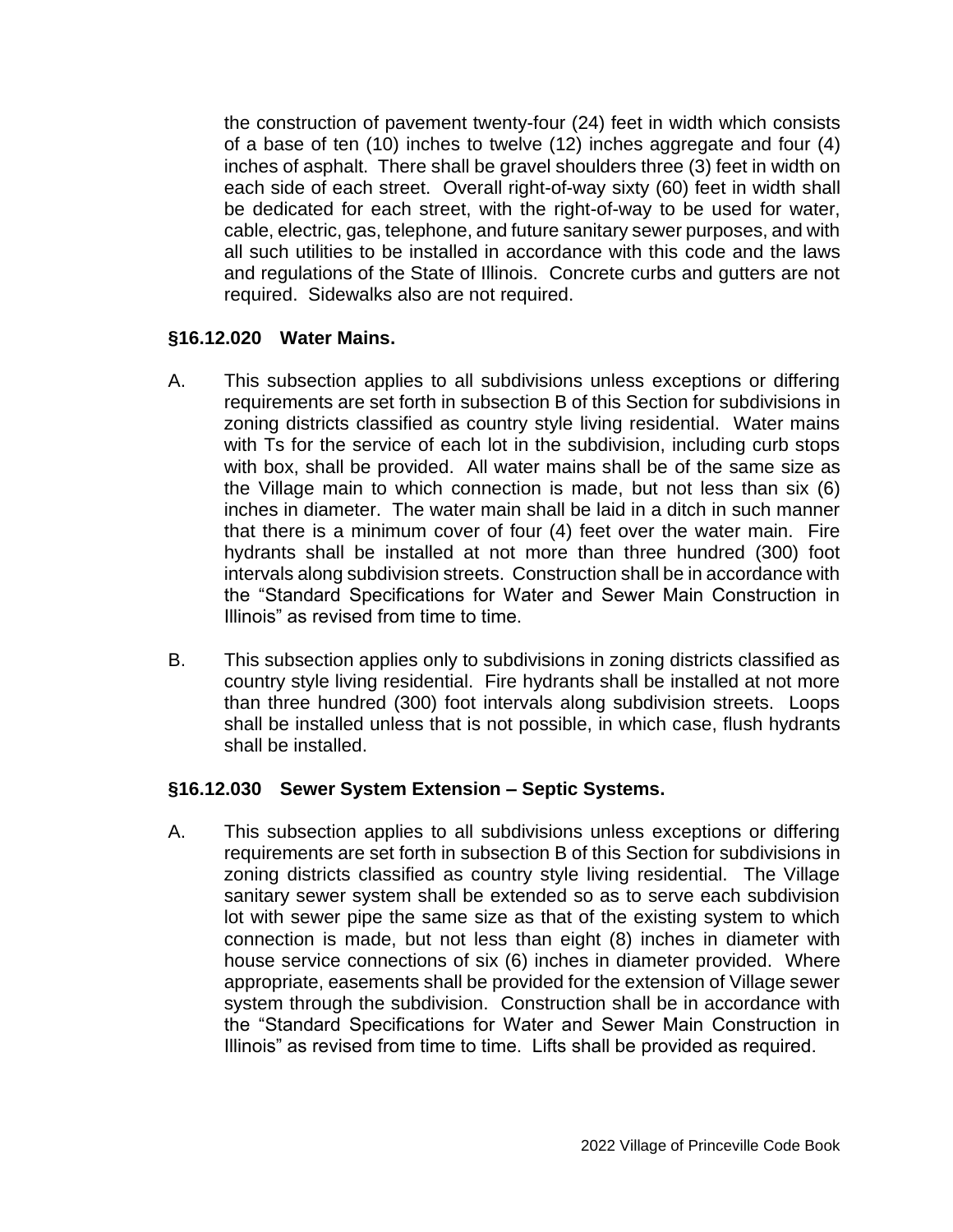the construction of pavement twenty-four (24) feet in width which consists of a base of ten (10) inches to twelve (12) inches aggregate and four (4) inches of asphalt. There shall be gravel shoulders three (3) feet in width on each side of each street. Overall right-of-way sixty (60) feet in width shall be dedicated for each street, with the right-of-way to be used for water, cable, electric, gas, telephone, and future sanitary sewer purposes, and with all such utilities to be installed in accordance with this code and the laws and regulations of the State of Illinois. Concrete curbs and gutters are not required. Sidewalks also are not required.

### **§16.12.020 Water Mains.**

- A. This subsection applies to all subdivisions unless exceptions or differing requirements are set forth in subsection B of this Section for subdivisions in zoning districts classified as country style living residential. Water mains with Ts for the service of each lot in the subdivision, including curb stops with box, shall be provided. All water mains shall be of the same size as the Village main to which connection is made, but not less than six (6) inches in diameter. The water main shall be laid in a ditch in such manner that there is a minimum cover of four (4) feet over the water main. Fire hydrants shall be installed at not more than three hundred (300) foot intervals along subdivision streets. Construction shall be in accordance with the "Standard Specifications for Water and Sewer Main Construction in Illinois" as revised from time to time.
- B. This subsection applies only to subdivisions in zoning districts classified as country style living residential. Fire hydrants shall be installed at not more than three hundred (300) foot intervals along subdivision streets. Loops shall be installed unless that is not possible, in which case, flush hydrants shall be installed.

#### **§16.12.030 Sewer System Extension – Septic Systems.**

A. This subsection applies to all subdivisions unless exceptions or differing requirements are set forth in subsection B of this Section for subdivisions in zoning districts classified as country style living residential. The Village sanitary sewer system shall be extended so as to serve each subdivision lot with sewer pipe the same size as that of the existing system to which connection is made, but not less than eight (8) inches in diameter with house service connections of six (6) inches in diameter provided. Where appropriate, easements shall be provided for the extension of Village sewer system through the subdivision. Construction shall be in accordance with the "Standard Specifications for Water and Sewer Main Construction in Illinois" as revised from time to time. Lifts shall be provided as required.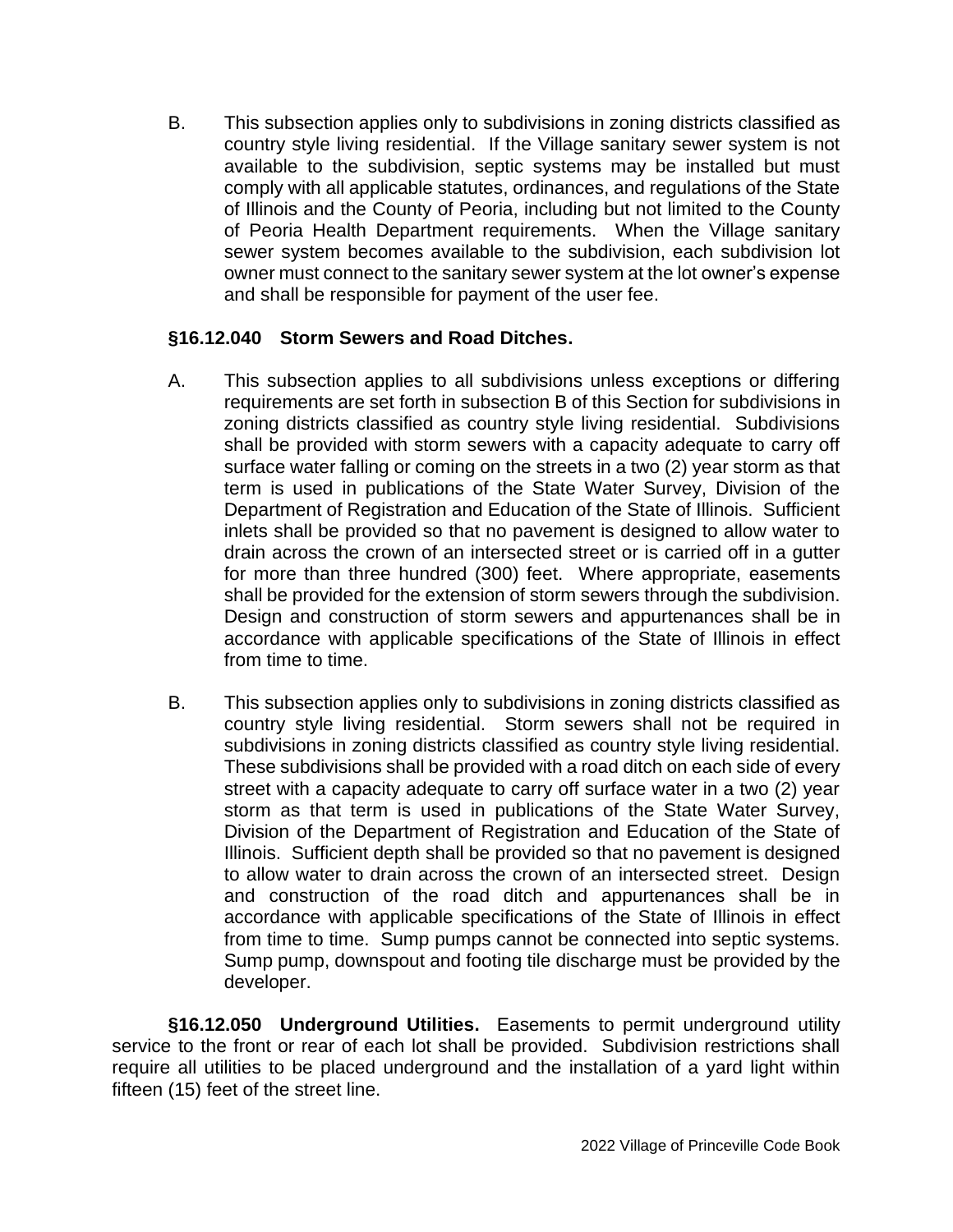B. This subsection applies only to subdivisions in zoning districts classified as country style living residential. If the Village sanitary sewer system is not available to the subdivision, septic systems may be installed but must comply with all applicable statutes, ordinances, and regulations of the State of Illinois and the County of Peoria, including but not limited to the County of Peoria Health Department requirements. When the Village sanitary sewer system becomes available to the subdivision, each subdivision lot owner must connect to the sanitary sewer system at the lot owner's expense and shall be responsible for payment of the user fee.

## **§16.12.040 Storm Sewers and Road Ditches.**

- A. This subsection applies to all subdivisions unless exceptions or differing requirements are set forth in subsection B of this Section for subdivisions in zoning districts classified as country style living residential. Subdivisions shall be provided with storm sewers with a capacity adequate to carry off surface water falling or coming on the streets in a two (2) year storm as that term is used in publications of the State Water Survey, Division of the Department of Registration and Education of the State of Illinois. Sufficient inlets shall be provided so that no pavement is designed to allow water to drain across the crown of an intersected street or is carried off in a gutter for more than three hundred (300) feet. Where appropriate, easements shall be provided for the extension of storm sewers through the subdivision. Design and construction of storm sewers and appurtenances shall be in accordance with applicable specifications of the State of Illinois in effect from time to time.
- B. This subsection applies only to subdivisions in zoning districts classified as country style living residential. Storm sewers shall not be required in subdivisions in zoning districts classified as country style living residential. These subdivisions shall be provided with a road ditch on each side of every street with a capacity adequate to carry off surface water in a two (2) year storm as that term is used in publications of the State Water Survey, Division of the Department of Registration and Education of the State of Illinois. Sufficient depth shall be provided so that no pavement is designed to allow water to drain across the crown of an intersected street. Design and construction of the road ditch and appurtenances shall be in accordance with applicable specifications of the State of Illinois in effect from time to time. Sump pumps cannot be connected into septic systems. Sump pump, downspout and footing tile discharge must be provided by the developer.

**§16.12.050 Underground Utilities.** Easements to permit underground utility service to the front or rear of each lot shall be provided. Subdivision restrictions shall require all utilities to be placed underground and the installation of a yard light within fifteen (15) feet of the street line.